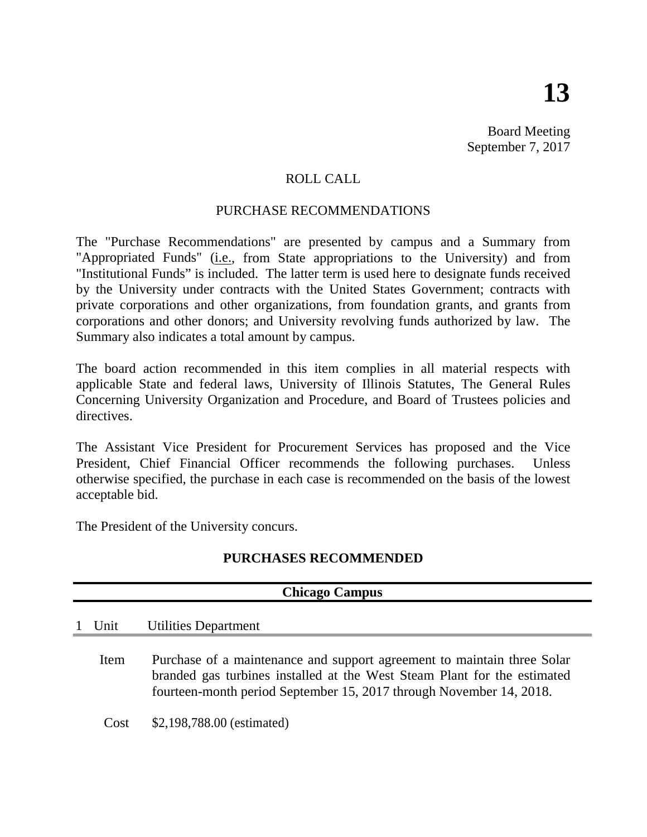Board Meeting September 7, 2017

## ROLL CALL

### PURCHASE RECOMMENDATIONS

The "Purchase Recommendations" are presented by campus and a Summary from "Appropriated Funds" (*i.e.*, from State appropriations to the University) and from "Institutional Funds" is included. The latter term is used here to designate funds received by the University under contracts with the United States Government; contracts with private corporations and other organizations, from foundation grants, and grants from corporations and other donors; and University revolving funds authorized by law. The Summary also indicates a total amount by campus.

The board action recommended in this item complies in all material respects with applicable State and federal laws, University of Illinois Statutes, The General Rules Concerning University Organization and Procedure, and Board of Trustees policies and directives.

The Assistant Vice President for Procurement Services has proposed and the Vice President, Chief Financial Officer recommends the following purchases. Unless otherwise specified, the purchase in each case is recommended on the basis of the lowest acceptable bid.

The President of the University concurs.

## **PURCHASES RECOMMENDED**

| <b>Chicago Campus</b> |                                                                                                                                                                                                                            |  |  |
|-----------------------|----------------------------------------------------------------------------------------------------------------------------------------------------------------------------------------------------------------------------|--|--|
| Unit                  | Utilities Department                                                                                                                                                                                                       |  |  |
| Item                  | Purchase of a maintenance and support agreement to maintain three Solar<br>branded gas turbines installed at the West Steam Plant for the estimated<br>fourteen-month period September 15, 2017 through November 14, 2018. |  |  |
| Cost                  | \$2,198,788.00 (estimated)                                                                                                                                                                                                 |  |  |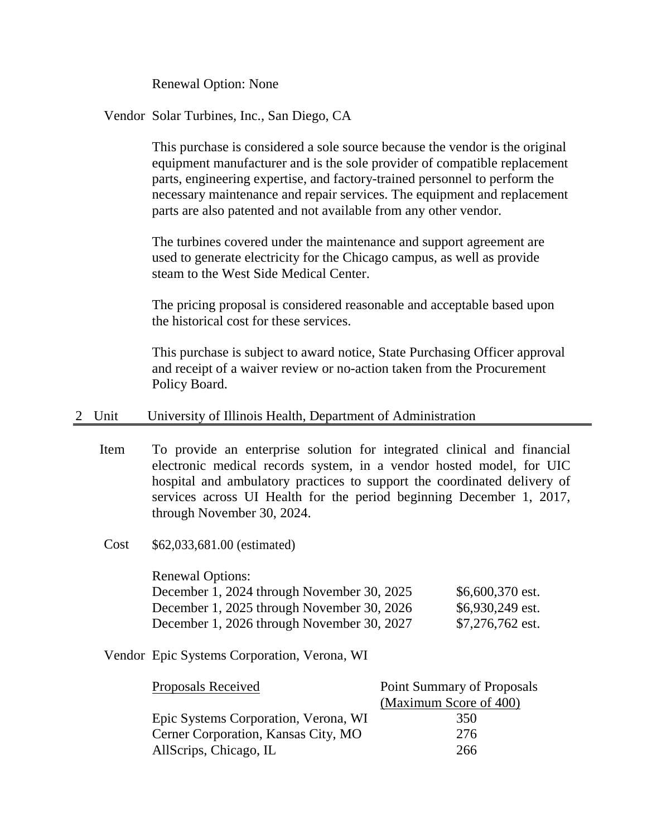Renewal Option: None

#### Vendor Solar Turbines, Inc., San Diego, CA

This purchase is considered a sole source because the vendor is the original equipment manufacturer and is the sole provider of compatible replacement parts, engineering expertise, and factory-trained personnel to perform the necessary maintenance and repair services. The equipment and replacement parts are also patented and not available from any other vendor.

The turbines covered under the maintenance and support agreement are used to generate electricity for the Chicago campus, as well as provide steam to the West Side Medical Center.

The pricing proposal is considered reasonable and acceptable based upon the historical cost for these services.

This purchase is subject to award notice, State Purchasing Officer approval and receipt of a waiver review or no-action taken from the Procurement Policy Board.

#### 2 Unit University of Illinois Health, Department of Administration

- Item To provide an enterprise solution for integrated clinical and financial electronic medical records system, in a vendor hosted model, for UIC hospital and ambulatory practices to support the coordinated delivery of services across UI Health for the period beginning December 1, 2017, through November 30, 2024.
- Cost \$62,033,681.00 (estimated)

| <b>Renewal Options:</b>                    |                  |
|--------------------------------------------|------------------|
| December 1, 2024 through November 30, 2025 | \$6,600,370 est. |
| December 1, 2025 through November 30, 2026 | \$6,930,249 est. |
| December 1, 2026 through November 30, 2027 | \$7,276,762 est. |

#### Vendor Epic Systems Corporation, Verona, WI

| Proposals Received                   | <b>Point Summary of Proposals</b> |  |
|--------------------------------------|-----------------------------------|--|
|                                      | (Maximum Score of 400)            |  |
| Epic Systems Corporation, Verona, WI | 350                               |  |
| Cerner Corporation, Kansas City, MO  | 276                               |  |
| AllScrips, Chicago, IL               | 266                               |  |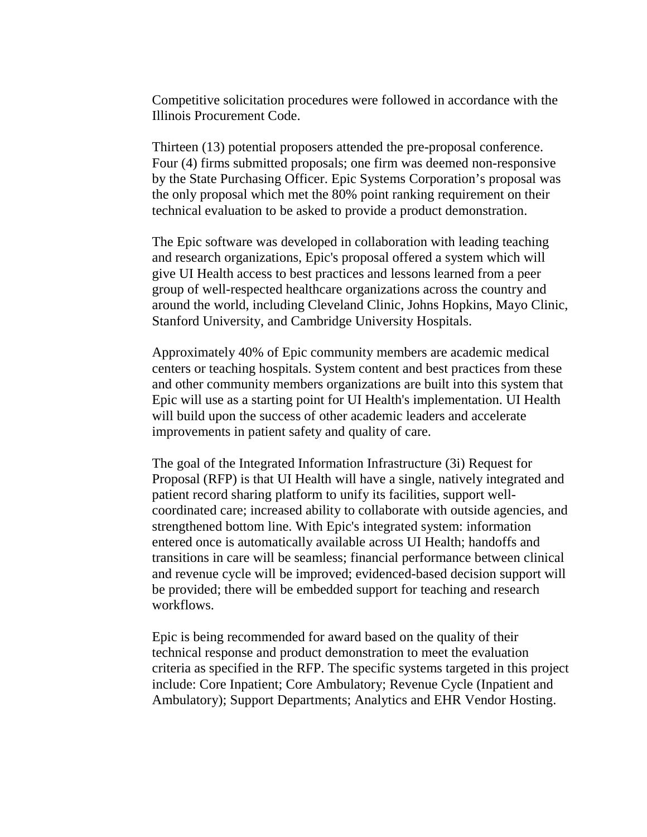Competitive solicitation procedures were followed in accordance with the Illinois Procurement Code.

Thirteen (13) potential proposers attended the pre-proposal conference. Four (4) firms submitted proposals; one firm was deemed non-responsive by the State Purchasing Officer. Epic Systems Corporation's proposal was the only proposal which met the 80% point ranking requirement on their technical evaluation to be asked to provide a product demonstration.

The Epic software was developed in collaboration with leading teaching and research organizations, Epic's proposal offered a system which will give UI Health access to best practices and lessons learned from a peer group of well-respected healthcare organizations across the country and around the world, including Cleveland Clinic, Johns Hopkins, Mayo Clinic, Stanford University, and Cambridge University Hospitals.

Approximately 40% of Epic community members are academic medical centers or teaching hospitals. System content and best practices from these and other community members organizations are built into this system that Epic will use as a starting point for UI Health's implementation. UI Health will build upon the success of other academic leaders and accelerate improvements in patient safety and quality of care.

The goal of the Integrated Information Infrastructure (3i) Request for Proposal (RFP) is that UI Health will have a single, natively integrated and patient record sharing platform to unify its facilities, support wellcoordinated care; increased ability to collaborate with outside agencies, and strengthened bottom line. With Epic's integrated system: information entered once is automatically available across UI Health; handoffs and transitions in care will be seamless; financial performance between clinical and revenue cycle will be improved; evidenced-based decision support will be provided; there will be embedded support for teaching and research workflows.

Epic is being recommended for award based on the quality of their technical response and product demonstration to meet the evaluation criteria as specified in the RFP. The specific systems targeted in this project include: Core Inpatient; Core Ambulatory; Revenue Cycle (Inpatient and Ambulatory); Support Departments; Analytics and EHR Vendor Hosting.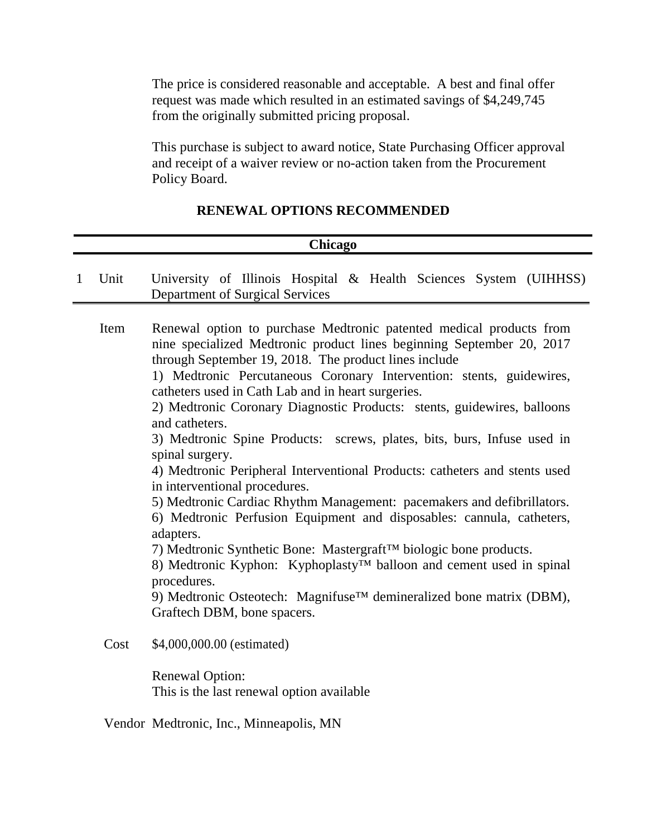The price is considered reasonable and acceptable. A best and final offer request was made which resulted in an estimated savings of \$4,249,745 from the originally submitted pricing proposal.

This purchase is subject to award notice, State Purchasing Officer approval and receipt of a waiver review or no-action taken from the Procurement Policy Board.

#### **RENEWAL OPTIONS RECOMMENDED**

# 1 Unit University of Illinois Hospital & Health Sciences System (UIHHSS) Department of Surgical Services Item Renewal option to purchase Medtronic patented medical products from nine specialized Medtronic product lines beginning September 20, 2017 through September 19, 2018. The product lines include 1) Medtronic Percutaneous Coronary Intervention: stents, guidewires, catheters used in Cath Lab and in heart surgeries. 2) Medtronic Coronary Diagnostic Products: stents, guidewires, balloons and catheters. 3) Medtronic Spine Products: screws, plates, bits, burs, Infuse used in spinal surgery. 4) Medtronic Peripheral Interventional Products: catheters and stents used in interventional procedures. 5) Medtronic Cardiac Rhythm Management: pacemakers and defibrillators. 6) Medtronic Perfusion Equipment and disposables: cannula, catheters, adapters. 7) Medtronic Synthetic Bone: Mastergraft™ biologic bone products. 8) Medtronic Kyphon: Kyphoplasty™ balloon and cement used in spinal procedures. 9) Medtronic Osteotech: Magnifuse<sup>™</sup> demineralized bone matrix (DBM), Graftech DBM, bone spacers. Cost \$4,000,000.00 (estimated) Renewal Option: This is the last renewal option available **Chicago**

Vendor Medtronic, Inc., Minneapolis, MN